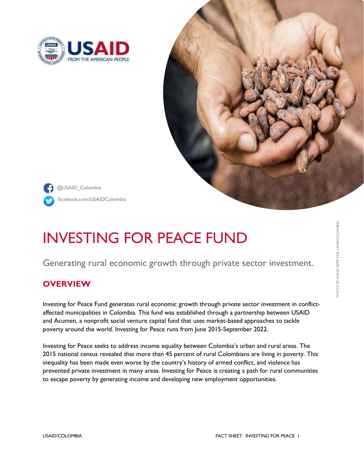



facebook.com/USAIDColombia @USAID\_Colombia

# INVESTING FOR PEACE FUND

Generating rural economic growth through private sector investment.

## **OVERVIEW**

Investing for Peace Fund generates rural economic growth through private sector investment in conflictaffected municipalities in Colombia. This fund was established through a partnership between USAID and Acumen, a nonprofit social venture capital fund that uses market-based approaches to tackle poverty around the world. Investing for Peace runs from June 2015-September 2022.

Investing for Peace seeks to address income equality between Colombia's urban and rural areas. The 2015 national census revealed that more than 45 [percent](http://wp.presidencia.gov.co/Noticias/2015/Agosto/Paginas/20150811_06-DANE-entrega-avance-de-resultados-del-tercer-Censo-Nacional-Agropecuario.aspx) of rural Colombians are living in poverty. This inequality has been made even worse by the country's history of armed conflict, and violence has prevented private investment in many areas. Investing for Peace is creating a path for rural communities to escape poverty by generating income and developing new employment opportunities.